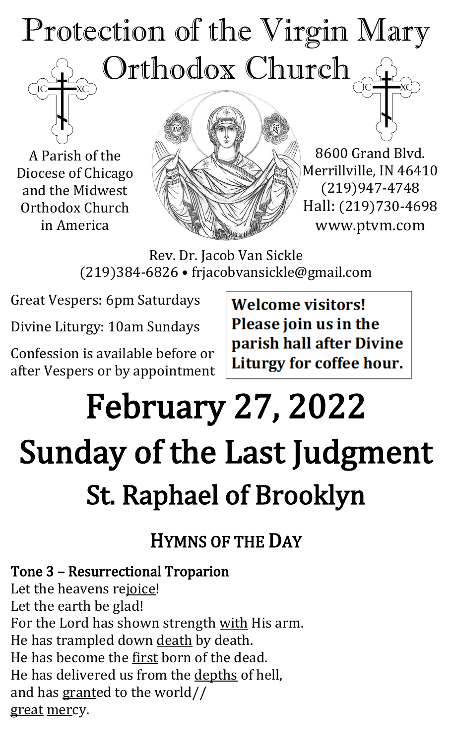# Protection of the Virgin Mary Orthodox Church

A Parish of the Diocese of Chicago and the Midwest Orthodox Church in America



8600 Grand Blvd. Merrillville, IN 46410 (219)947-4748 Hall: (219)730-4698 www.ptvm.com

Rev. Dr. Jacob Van Sickle (219)384-6826 • frjacobvansickle@gmail.com

Great Vespers: 6pm Saturdays

Divine Liturgy: 10am Sundays

Confession is available before or after Vespers or by appointment **Welcome visitors!** Please join us in the parish hall after Divine Liturgy for coffee hour.

# February 27, 2022 Sunday of the Last Judgment St. Raphael of Brooklyn

HYMNS OF THE DAY

Tone 3 – Resurrectional Troparion Let the heavens rejoice! Let the earth be glad! For the Lord has shown strength with His arm. He has trampled down death by death. He has become the first born of the dead. He has delivered us from the depths of hell, and has granted to the world// great mercy.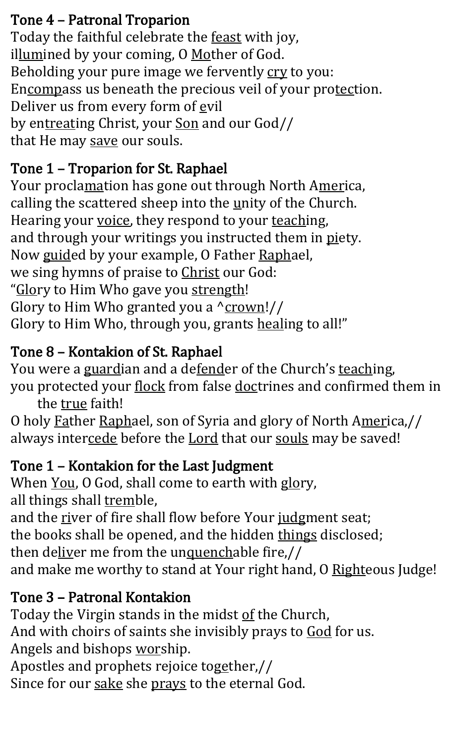#### Tone 4 – Patronal Troparion

Today the faithful celebrate the feast with joy, illumined by your coming, O Mother of God. Beholding your pure image we fervently cry to you: Encompass us beneath the precious veil of your protection. Deliver us from every form of evil by entreating Christ, your Son and our God// that He may save our souls.

#### Tone 1 – Troparion for St. Raphael

Your proclamation has gone out through North America, calling the scattered sheep into the  $unity$  of the Church. Hearing your voice, they respond to your teaching, and through your writings you instructed them in piety. Now guided by your example, O Father Raphael, we sing hymns of praise to Christ our God: "Glory to Him Who gave you strength! Glory to Him Who granted you a  $\gamma$  crown!// Glory to Him Who, through you, grants healing to all!"

#### Tone 8 – Kontakion of St. Raphael

You were a guardian and a defender of the Church's teaching, you protected your flock from false doctrines and confirmed them in

the true faith!

O holy Father Raphael, son of Syria and glory of North America,// always intercede before the Lord that our souls may be saved!

#### Tone 1 – Kontakion for the Last Judgment

When You, O God, shall come to earth with glory, all things shall tremble, and the river of fire shall flow before Your judgment seat; the books shall be opened, and the hidden things disclosed; then deliver me from the unquenchable fire,// and make me worthy to stand at Your right hand, O Righteous Judge!

#### Tone 3 – Patronal Kontakion

Today the Virgin stands in the midst of the Church, And with choirs of saints she invisibly prays to God for us. Angels and bishops worship. Apostles and prophets rejoice together,// Since for our sake she prays to the eternal God.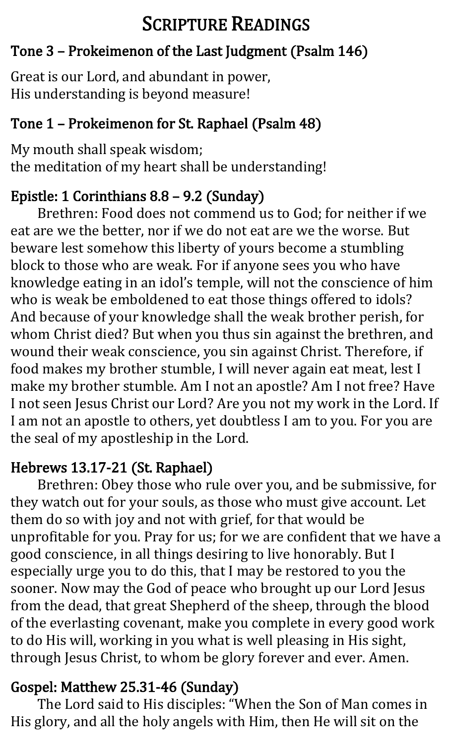#### SCRIPTURE READINGS

#### Tone 3 – Prokeimenon of the Last Judgment (Psalm 146)

Great is our Lord, and abundant in power, His understanding is beyond measure!

#### Tone 1 – Prokeimenon for St. Raphael (Psalm 48)

My mouth shall speak wisdom; the meditation of my heart shall be understanding!

#### Epistle: 1 Corinthians 8.8 – 9.2 (Sunday)

Brethren: Food does not commend us to God; for neither if we eat are we the better, nor if we do not eat are we the worse. But beware lest somehow this liberty of yours become a stumbling block to those who are weak. For if anyone sees you who have knowledge eating in an idol's temple, will not the conscience of him who is weak be emboldened to eat those things offered to idols? And because of your knowledge shall the weak brother perish, for whom Christ died? But when you thus sin against the brethren, and wound their weak conscience, you sin against Christ. Therefore, if food makes my brother stumble, I will never again eat meat, lest I make my brother stumble. Am I not an apostle? Am I not free? Have I not seen Jesus Christ our Lord? Are you not my work in the Lord. If I am not an apostle to others, yet doubtless I am to you. For you are the seal of my apostleship in the Lord.

#### Hebrews 13.17-21 (St. Raphael)

Brethren: Obey those who rule over you, and be submissive, for they watch out for your souls, as those who must give account. Let them do so with joy and not with grief, for that would be unprofitable for you. Pray for us; for we are confident that we have a good conscience, in all things desiring to live honorably. But I especially urge you to do this, that I may be restored to you the sooner. Now may the God of peace who brought up our Lord Jesus from the dead, that great Shepherd of the sheep, through the blood of the everlasting covenant, make you complete in every good work to do His will, working in you what is well pleasing in His sight, through Jesus Christ, to whom be glory forever and ever. Amen.

#### Gospel: Matthew 25.31-46 (Sunday)

The Lord said to His disciples: "When the Son of Man comes in His glory, and all the holy angels with Him, then He will sit on the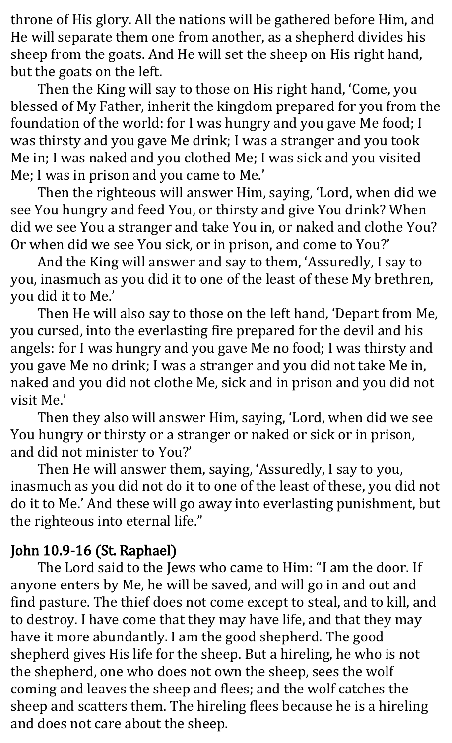throne of His glory. All the nations will be gathered before Him, and He will separate them one from another, as a shepherd divides his sheep from the goats. And He will set the sheep on His right hand, but the goats on the left.

Then the King will say to those on His right hand, 'Come, you blessed of My Father, inherit the kingdom prepared for you from the foundation of the world: for I was hungry and you gave Me food; I was thirsty and you gave Me drink; I was a stranger and you took Me in; I was naked and you clothed Me; I was sick and you visited Me; I was in prison and you came to Me.'

Then the righteous will answer Him, saying, 'Lord, when did we see You hungry and feed You, or thirsty and give You drink? When did we see You a stranger and take You in, or naked and clothe You? Or when did we see You sick, or in prison, and come to You?'

And the King will answer and say to them, 'Assuredly, I say to you, inasmuch as you did it to one of the least of these My brethren, you did it to Me.'

Then He will also say to those on the left hand, 'Depart from Me, you cursed, into the everlasting fire prepared for the devil and his angels: for I was hungry and you gave Me no food; I was thirsty and you gave Me no drink; I was a stranger and you did not take Me in, naked and you did not clothe Me, sick and in prison and you did not visit Me.'

Then they also will answer Him, saying, 'Lord, when did we see You hungry or thirsty or a stranger or naked or sick or in prison, and did not minister to You?'

Then He will answer them, saying, 'Assuredly, I say to you, inasmuch as you did not do it to one of the least of these, you did not do it to Me.' And these will go away into everlasting punishment, but the righteous into eternal life."

#### John 10.9-16 (St. Raphael)

The Lord said to the Jews who came to Him: "I am the door. If anyone enters by Me, he will be saved, and will go in and out and find pasture. The thief does not come except to steal, and to kill, and to destroy. I have come that they may have life, and that they may have it more abundantly. I am the good shepherd. The good shepherd gives His life for the sheep. But a hireling, he who is not the shepherd, one who does not own the sheep, sees the wolf coming and leaves the sheep and flees; and the wolf catches the sheep and scatters them. The hireling flees because he is a hireling and does not care about the sheep.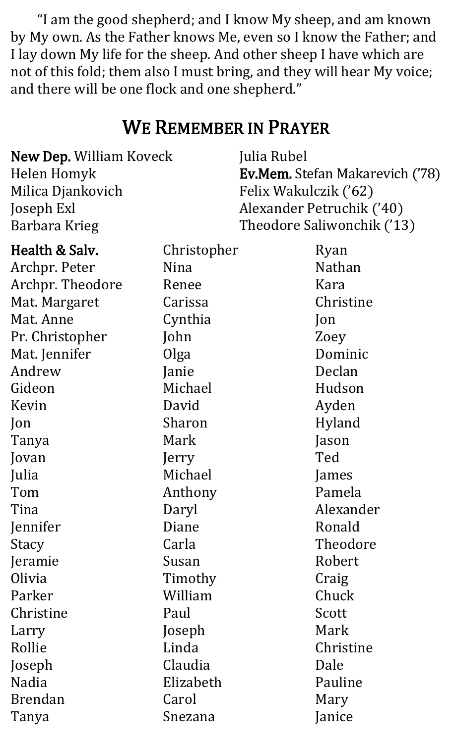"I am the good shepherd; and I know My sheep, and am known by My own. As the Father knows Me, even so I know the Father; and I lay down My life for the sheep. And other sheep I have which are not of this fold; them also I must bring, and they will hear My voice; and there will be one flock and one shepherd.["](https://www.oca.org/readings/daily/2022/02/26)

#### WE REMEMBER IN PRAYER

| New Dep. William Koveck | Julia Rubel                            |
|-------------------------|----------------------------------------|
| Helen Homyk             | <b>Ev.Mem.</b> Stefan Makarevich ('78) |
| Milica Djankovich       | Felix Wakulczik ('62)                  |
| Joseph Exl              | Alexander Petruchik ('40)              |
| Barbara Krieg           | Theodore Saliwonchik ('13)             |

| Health & Salv.   | Christopher | Ryan          |
|------------------|-------------|---------------|
| Archpr. Peter    | Nina        | <b>Nathan</b> |
| Archpr. Theodore | Renee       | Kara          |
| Mat. Margaret    | Carissa     | Christine     |
| Mat. Anne        | Cynthia     | $\lceil$ on   |
| Pr. Christopher  | John        | Zoey          |
| Mat. Jennifer    | Olga        | Dominic       |
| Andrew           | Janie       | Declan        |
| Gideon           | Michael     | Hudson        |
| Kevin            | David       | Ayden         |
| Jon              | Sharon      | Hyland        |
| Tanya            | Mark        | Jason         |
| Jovan            | Jerry       | Ted           |
| Julia            | Michael     | James         |
| Tom              | Anthony     | Pamela        |
| Tina             | Daryl       | Alexander     |
| Jennifer         | Diane       | Ronald        |
| Stacy            | Carla       | Theodore      |
| Jeramie          | Susan       | Robert        |
| Olivia           | Timothy     | Craig         |
| Parker           | William     | Chuck         |
| Christine        | Paul        | Scott         |
| Larry            | Joseph      | Mark          |
| Rollie           | Linda       | Christine     |
| Joseph           | Claudia     | Dale          |
| <b>Nadia</b>     | Elizabeth   | Pauline       |
| <b>Brendan</b>   | Carol       | Mary          |
| Tanya            | Snezana     | Janice        |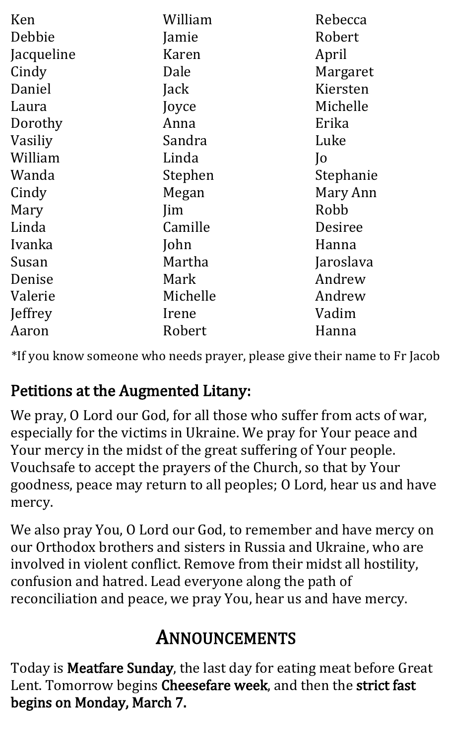| Ken        | William    | Rebecca        |
|------------|------------|----------------|
| Debbie     | Jamie      | Robert         |
| Jacqueline | Karen      | April          |
| Cindy      | Dale       | Margaret       |
| Daniel     | Jack       | Kiersten       |
| Laura      | Joyce      | Michelle       |
| Dorothy    | Anna       | Erika          |
| Vasiliy    | Sandra     | Luke           |
| William    | Linda      | $\overline{)$  |
| Wanda      | Stephen    | Stephanie      |
| Cindy      | Megan      | Mary Ann       |
| Mary       | <i>lim</i> | Robb           |
| Linda      | Camille    | <b>Desiree</b> |
| Ivanka     | John       | Hanna          |
| Susan      | Martha     | Jaroslava      |
| Denise     | Mark       | Andrew         |
| Valerie    | Michelle   | Andrew         |
| Jeffrey    | Irene      | Vadim          |
| Aaron      | Robert     | Hanna          |

\*If you know someone who needs prayer, please give their name to Fr Jacob

#### Petitions at the Augmented Litany:

We pray, O Lord our God, for all those who suffer from acts of war, especially for the victims in Ukraine. We pray for Your peace and Your mercy in the midst of the great suffering of Your people. Vouchsafe to accept the prayers of the Church, so that by Your goodness, peace may return to all peoples; O Lord, hear us and have mercy.

We also pray You, O Lord our God, to remember and have mercy on our Orthodox brothers and sisters in Russia and Ukraine, who are involved in violent conflict. Remove from their midst all hostility, confusion and hatred. Lead everyone along the path of reconciliation and peace, we pray You, hear us and have mercy.

#### ANNOUNCEMENTS

Today is Meatfare Sunday, the last day for eating meat before Great Lent. Tomorrow begins Cheesefare week, and then the strict fast begins on Monday, March 7.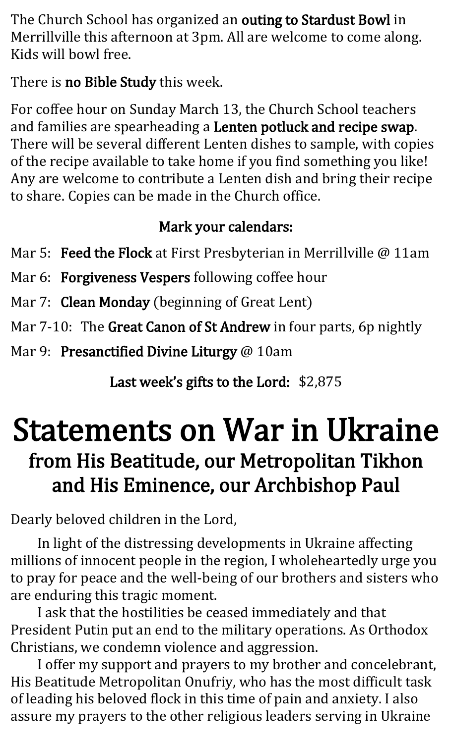The Church School has organized an outing to Stardust Bowl in Merrillville this afternoon at 3pm. All are welcome to come along. Kids will bowl free.

There is no Bible Study this week.

For coffee hour on Sunday March 13, the Church School teachers and families are spearheading a Lenten potluck and recipe swap. There will be several different Lenten dishes to sample, with copies of the recipe available to take home if you find something you like! Any are welcome to contribute a Lenten dish and bring their recipe to share. Copies can be made in the Church office.

#### Mark your calendars:

Mar 5: Feed the Flock at First Presbyterian in Merrillville @ 11am

Mar 6: Forgiveness Vespers following coffee hour

Mar 7: Clean Monday (beginning of Great Lent)

Mar 7-10: The Great Canon of St Andrew in four parts, 6p nightly

Mar 9: Presanctified Divine Liturgy @ 10am

Last week's gifts to the Lord: \$2,875

### Statements on War in Ukraine from His Beatitude, our Metropolitan Tikhon and His Eminence, our Archbishop Paul

Dearly beloved children in the Lord,

In light of the distressing developments in Ukraine affecting millions of innocent people in the region, I wholeheartedly urge you to pray for peace and the well-being of our brothers and sisters who are enduring this tragic moment.

I ask that the hostilities be ceased immediately and that President Putin put an end to the military operations. As Orthodox Christians, we condemn violence and aggression.

I offer my support and prayers to my brother and concelebrant, His Beatitude Metropolitan Onufriy, who has the most difficult task of leading his beloved flock in this time of pain and anxiety. I also assure my prayers to the other religious leaders serving in Ukraine